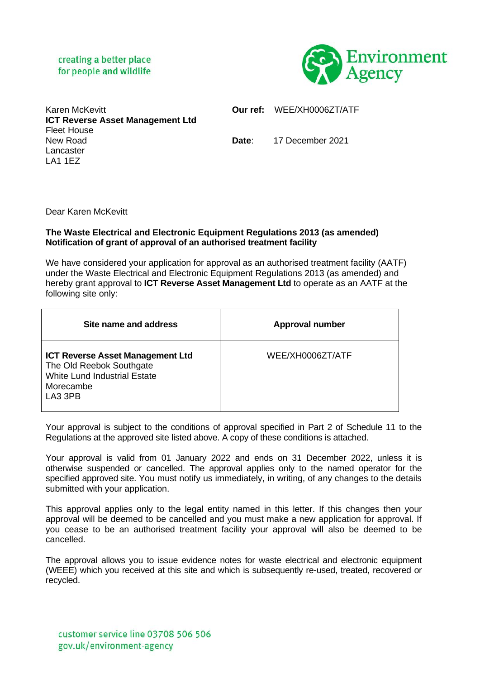## creating a better place for people and wildlife



| <b>Karen McKevitt</b>                   |
|-----------------------------------------|
| <b>ICT Reverse Asset Management Ltd</b> |
| Fleet House                             |
| New Road                                |
| Lancaster                               |
| LA1 1EZ                                 |

**Our ref:** WEE/XH0006ZT/ATF

**Date**: 17 December 2021

Dear Karen McKevitt

## **The Waste Electrical and Electronic Equipment Regulations 2013 (as amended) Notification of grant of approval of an authorised treatment facility**

We have considered your application for approval as an authorised treatment facility (AATF) under the Waste Electrical and Electronic Equipment Regulations 2013 (as amended) and hereby grant approval to **ICT Reverse Asset Management Ltd** to operate as an AATF at the following site only:

| Site name and address                                                                                                              | <b>Approval number</b> |
|------------------------------------------------------------------------------------------------------------------------------------|------------------------|
| <b>ICT Reverse Asset Management Ltd</b><br>The Old Reebok Southgate<br><b>White Lund Industrial Estate</b><br>Morecambe<br>LA3 3PB | WEE/XH0006ZT/ATF       |

Your approval is subject to the conditions of approval specified in Part 2 of Schedule 11 to the Regulations at the approved site listed above. A copy of these conditions is attached.

Your approval is valid from 01 January 2022 and ends on 31 December 2022, unless it is otherwise suspended or cancelled. The approval applies only to the named operator for the specified approved site. You must notify us immediately, in writing, of any changes to the details submitted with your application.

This approval applies only to the legal entity named in this letter. If this changes then your approval will be deemed to be cancelled and you must make a new application for approval. If you cease to be an authorised treatment facility your approval will also be deemed to be cancelled.

The approval allows you to issue evidence notes for waste electrical and electronic equipment (WEEE) which you received at this site and which is subsequently re-used, treated, recovered or recycled.